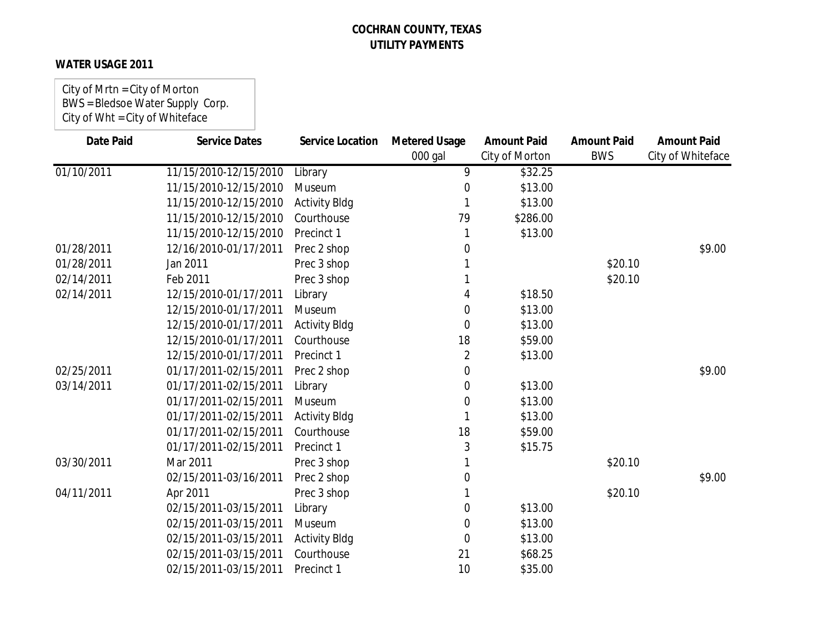## **WATER USAGE 2011**

City of Mrtn = City of Morton BWS = Bledsoe Water Supply Corp. City of Wht = City of Whiteface

| <b>Date Paid</b> | <b>Service Dates</b>  | <b>Service Location</b> | <b>Metered Usage</b> | <b>Amount Paid</b> | <b>Amount Paid</b> | <b>Amount Paid</b> |
|------------------|-----------------------|-------------------------|----------------------|--------------------|--------------------|--------------------|
|                  |                       |                         | 000 gal              | City of Morton     | <b>BWS</b>         | City of Whiteface  |
| 01/10/2011       | 11/15/2010-12/15/2010 | Library                 | 9                    | \$32.25            |                    |                    |
|                  | 11/15/2010-12/15/2010 | Museum                  | 0                    | \$13.00            |                    |                    |
|                  | 11/15/2010-12/15/2010 | <b>Activity Bldg</b>    | 1                    | \$13.00            |                    |                    |
|                  | 11/15/2010-12/15/2010 | Courthouse              | 79                   | \$286.00           |                    |                    |
|                  | 11/15/2010-12/15/2010 | Precinct 1              |                      | \$13.00            |                    |                    |
| 01/28/2011       | 12/16/2010-01/17/2011 | Prec 2 shop             | 0                    |                    |                    | \$9.00             |
| 01/28/2011       | Jan 2011              | Prec 3 shop             |                      |                    | \$20.10            |                    |
| 02/14/2011       | Feb 2011              | Prec 3 shop             |                      |                    | \$20.10            |                    |
| 02/14/2011       | 12/15/2010-01/17/2011 | Library                 | 4                    | \$18.50            |                    |                    |
|                  | 12/15/2010-01/17/2011 | Museum                  | 0                    | \$13.00            |                    |                    |
|                  | 12/15/2010-01/17/2011 | <b>Activity Bldg</b>    | 0                    | \$13.00            |                    |                    |
|                  | 12/15/2010-01/17/2011 | Courthouse              | 18                   | \$59.00            |                    |                    |
|                  | 12/15/2010-01/17/2011 | Precinct 1              | 2                    | \$13.00            |                    |                    |
| 02/25/2011       | 01/17/2011-02/15/2011 | Prec 2 shop             | 0                    |                    |                    | \$9.00             |
| 03/14/2011       | 01/17/2011-02/15/2011 | Library                 | 0                    | \$13.00            |                    |                    |
|                  | 01/17/2011-02/15/2011 | Museum                  | 0                    | \$13.00            |                    |                    |
|                  | 01/17/2011-02/15/2011 | <b>Activity Bldg</b>    |                      | \$13.00            |                    |                    |
|                  | 01/17/2011-02/15/2011 | Courthouse              | 18                   | \$59.00            |                    |                    |
|                  | 01/17/2011-02/15/2011 | Precinct 1              | 3                    | \$15.75            |                    |                    |
| 03/30/2011       | Mar 2011              | Prec 3 shop             |                      |                    | \$20.10            |                    |
|                  | 02/15/2011-03/16/2011 | Prec 2 shop             | 0                    |                    |                    | \$9.00             |
| 04/11/2011       | Apr 2011              | Prec 3 shop             |                      |                    | \$20.10            |                    |
|                  | 02/15/2011-03/15/2011 | Library                 | 0                    | \$13.00            |                    |                    |
|                  | 02/15/2011-03/15/2011 | Museum                  | 0                    | \$13.00            |                    |                    |
|                  | 02/15/2011-03/15/2011 | <b>Activity Bldg</b>    | 0                    | \$13.00            |                    |                    |
|                  | 02/15/2011-03/15/2011 | Courthouse              | 21                   | \$68.25            |                    |                    |
|                  | 02/15/2011-03/15/2011 | Precinct 1              | 10                   | \$35.00            |                    |                    |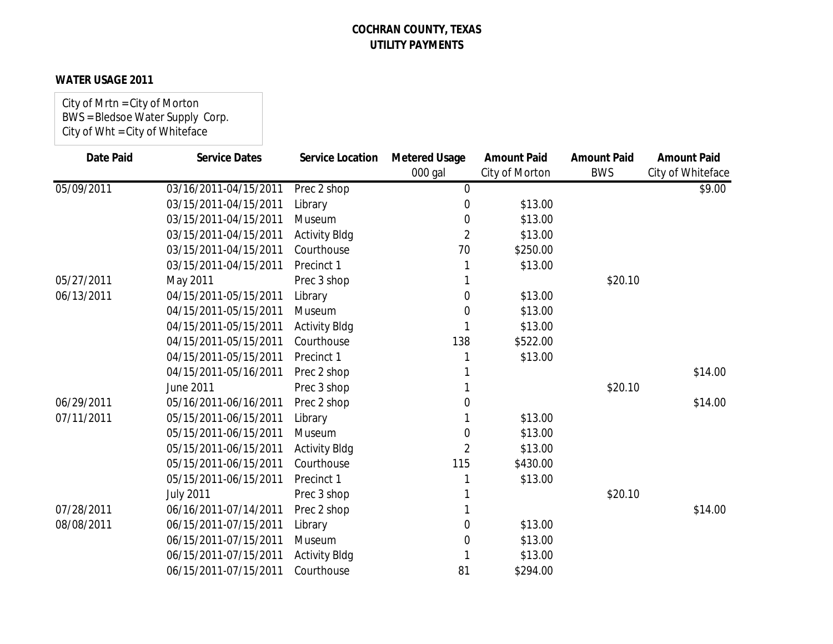## **WATER USAGE 2011**

City of Mrtn = City of Morton BWS = Bledsoe Water Supply Corp. City of Wht = City of Whiteface

| <b>Date Paid</b> | <b>Service Dates</b>  | <b>Service Location</b> | <b>Metered Usage</b> | <b>Amount Paid</b> | <b>Amount Paid</b> | <b>Amount Paid</b> |
|------------------|-----------------------|-------------------------|----------------------|--------------------|--------------------|--------------------|
|                  |                       |                         | 000 gal              | City of Morton     | <b>BWS</b>         | City of Whiteface  |
| 05/09/2011       | 03/16/2011-04/15/2011 | Prec 2 shop             | $\mathbf 0$          |                    |                    | \$9.00             |
|                  | 03/15/2011-04/15/2011 | Library                 | 0                    | \$13.00            |                    |                    |
|                  | 03/15/2011-04/15/2011 | Museum                  | 0                    | \$13.00            |                    |                    |
|                  | 03/15/2011-04/15/2011 | <b>Activity Bldg</b>    | 2                    | \$13.00            |                    |                    |
|                  | 03/15/2011-04/15/2011 | Courthouse              | 70                   | \$250.00           |                    |                    |
|                  | 03/15/2011-04/15/2011 | Precinct 1              |                      | \$13.00            |                    |                    |
| 05/27/2011       | May 2011              | Prec 3 shop             |                      |                    | \$20.10            |                    |
| 06/13/2011       | 04/15/2011-05/15/2011 | Library                 | 0                    | \$13.00            |                    |                    |
|                  | 04/15/2011-05/15/2011 | Museum                  | 0                    | \$13.00            |                    |                    |
|                  | 04/15/2011-05/15/2011 | <b>Activity Bldg</b>    |                      | \$13.00            |                    |                    |
|                  | 04/15/2011-05/15/2011 | Courthouse              | 138                  | \$522.00           |                    |                    |
|                  | 04/15/2011-05/15/2011 | Precinct 1              |                      | \$13.00            |                    |                    |
|                  | 04/15/2011-05/16/2011 | Prec 2 shop             |                      |                    |                    | \$14.00            |
|                  | June 2011             | Prec 3 shop             |                      |                    | \$20.10            |                    |
| 06/29/2011       | 05/16/2011-06/16/2011 | Prec 2 shop             | 0                    |                    |                    | \$14.00            |
| 07/11/2011       | 05/15/2011-06/15/2011 | Library                 |                      | \$13.00            |                    |                    |
|                  | 05/15/2011-06/15/2011 | Museum                  | 0                    | \$13.00            |                    |                    |
|                  | 05/15/2011-06/15/2011 | <b>Activity Bldg</b>    | $\overline{2}$       | \$13.00            |                    |                    |
|                  | 05/15/2011-06/15/2011 | Courthouse              | 115                  | \$430.00           |                    |                    |
|                  | 05/15/2011-06/15/2011 | Precinct 1              |                      | \$13.00            |                    |                    |
|                  | <b>July 2011</b>      | Prec 3 shop             |                      |                    | \$20.10            |                    |
| 07/28/2011       | 06/16/2011-07/14/2011 | Prec 2 shop             |                      |                    |                    | \$14.00            |
| 08/08/2011       | 06/15/2011-07/15/2011 | Library                 | 0                    | \$13.00            |                    |                    |
|                  | 06/15/2011-07/15/2011 | Museum                  | $\Omega$             | \$13.00            |                    |                    |
|                  | 06/15/2011-07/15/2011 | <b>Activity Bldg</b>    |                      | \$13.00            |                    |                    |
|                  | 06/15/2011-07/15/2011 | Courthouse              | 81                   | \$294.00           |                    |                    |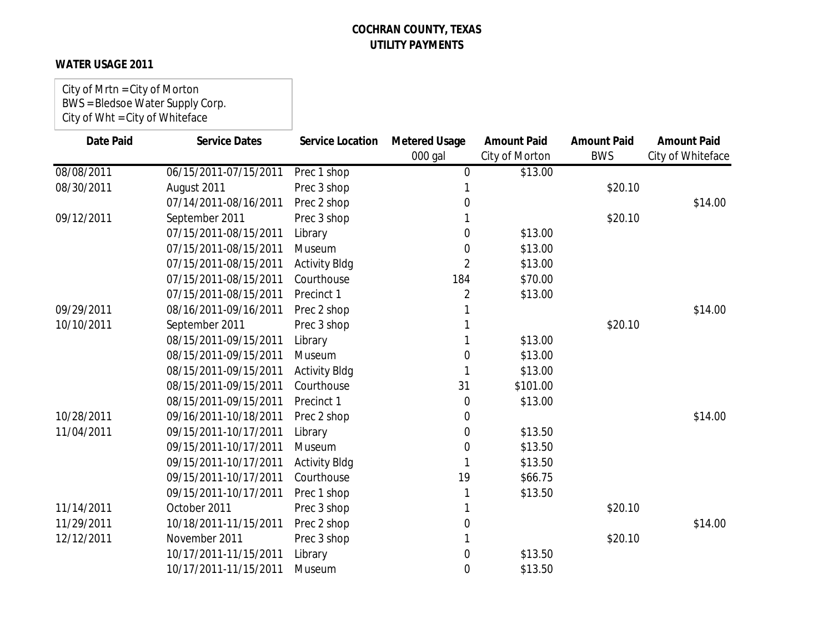## **WATER USAGE 2011**

City of Mrtn = City of Morton BWS = Bledsoe Water Supply Corp. City of Wht = City of Whiteface

| <b>Date Paid</b> | <b>Service Dates</b>  | <b>Service Location</b> | <b>Metered Usage</b><br>000 gal | <b>Amount Paid</b><br>City of Morton | <b>Amount Paid</b><br><b>BWS</b> | <b>Amount Paid</b><br>City of Whiteface |
|------------------|-----------------------|-------------------------|---------------------------------|--------------------------------------|----------------------------------|-----------------------------------------|
| 08/08/2011       | 06/15/2011-07/15/2011 | Prec 1 shop             | $\Omega$                        | \$13.00                              |                                  |                                         |
| 08/30/2011       | August 2011           | Prec 3 shop             |                                 |                                      | \$20.10                          |                                         |
|                  | 07/14/2011-08/16/2011 | Prec 2 shop             | 0                               |                                      |                                  | \$14.00                                 |
| 09/12/2011       | September 2011        | Prec 3 shop             |                                 |                                      | \$20.10                          |                                         |
|                  | 07/15/2011-08/15/2011 | Library                 | 0                               | \$13.00                              |                                  |                                         |
|                  | 07/15/2011-08/15/2011 | Museum                  | 0                               | \$13.00                              |                                  |                                         |
|                  | 07/15/2011-08/15/2011 | <b>Activity Bldg</b>    | $\overline{2}$                  | \$13.00                              |                                  |                                         |
|                  | 07/15/2011-08/15/2011 | Courthouse              | 184                             | \$70.00                              |                                  |                                         |
|                  | 07/15/2011-08/15/2011 | Precinct 1              | 2                               | \$13.00                              |                                  |                                         |
| 09/29/2011       | 08/16/2011-09/16/2011 | Prec 2 shop             |                                 |                                      |                                  | \$14.00                                 |
| 10/10/2011       | September 2011        | Prec 3 shop             |                                 |                                      | \$20.10                          |                                         |
|                  | 08/15/2011-09/15/2011 | Library                 |                                 | \$13.00                              |                                  |                                         |
|                  | 08/15/2011-09/15/2011 | Museum                  | $\Omega$                        | \$13.00                              |                                  |                                         |
|                  | 08/15/2011-09/15/2011 | <b>Activity Bldg</b>    |                                 | \$13.00                              |                                  |                                         |
|                  | 08/15/2011-09/15/2011 | Courthouse              | 31                              | \$101.00                             |                                  |                                         |
|                  | 08/15/2011-09/15/2011 | Precinct 1              | $\Omega$                        | \$13.00                              |                                  |                                         |
| 10/28/2011       | 09/16/2011-10/18/2011 | Prec 2 shop             | 0                               |                                      |                                  | \$14.00                                 |
| 11/04/2011       | 09/15/2011-10/17/2011 | Library                 | 0                               | \$13.50                              |                                  |                                         |
|                  | 09/15/2011-10/17/2011 | Museum                  | 0                               | \$13.50                              |                                  |                                         |
|                  | 09/15/2011-10/17/2011 | <b>Activity Bldg</b>    |                                 | \$13.50                              |                                  |                                         |
|                  | 09/15/2011-10/17/2011 | Courthouse              | 19                              | \$66.75                              |                                  |                                         |
|                  | 09/15/2011-10/17/2011 | Prec 1 shop             |                                 | \$13.50                              |                                  |                                         |
| 11/14/2011       | October 2011          | Prec 3 shop             |                                 |                                      | \$20.10                          |                                         |
| 11/29/2011       | 10/18/2011-11/15/2011 | Prec 2 shop             | 0                               |                                      |                                  | \$14.00                                 |
| 12/12/2011       | November 2011         | Prec 3 shop             |                                 |                                      | \$20.10                          |                                         |
|                  | 10/17/2011-11/15/2011 | Library                 | 0                               | \$13.50                              |                                  |                                         |
|                  | 10/17/2011-11/15/2011 | Museum                  | 0                               | \$13.50                              |                                  |                                         |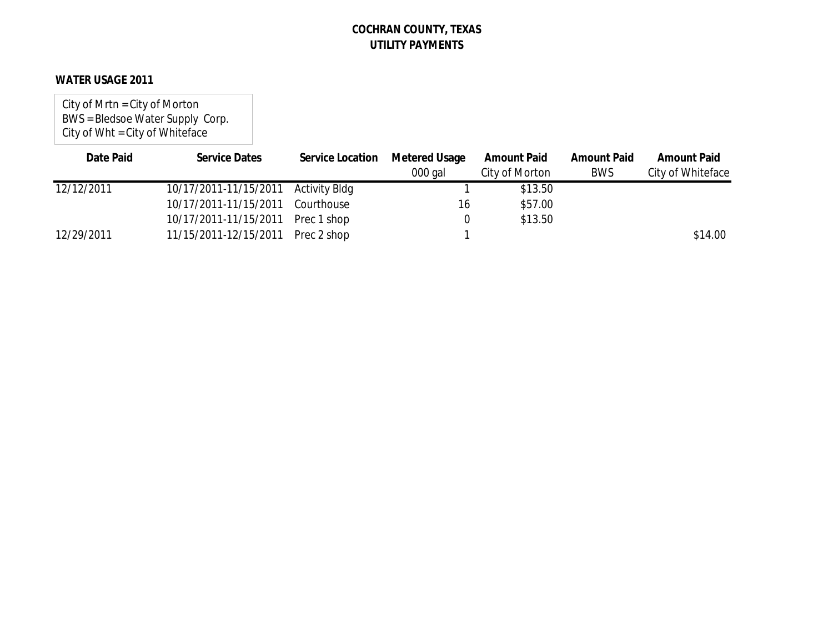### **WATER USAGE 2011**

City of Mrtn = City of Morton BWS = Bledsoe Water Supply Corp. City of Wht = City of Whiteface

| Date Paid  | <b>Service Dates</b>                | Service Location | Metered Usage | <b>Amount Paid</b> | <b>Amount Paid</b> | <b>Amount Paid</b> |
|------------|-------------------------------------|------------------|---------------|--------------------|--------------------|--------------------|
|            |                                     |                  | $000$ gal     | City of Morton     | <b>BWS</b>         | City of Whiteface  |
| 12/12/2011 | 10/17/2011-11/15/2011 Activity Bldg |                  |               | \$13.50            |                    |                    |
|            | 10/17/2011-11/15/2011               | Courthouse       | 16            | \$57.00            |                    |                    |
|            | 10/17/2011-11/15/2011 Prec 1 shop   |                  |               | \$13.50            |                    |                    |
| 12/29/2011 | 11/15/2011-12/15/2011 Prec 2 shop   |                  |               |                    |                    | \$14.00            |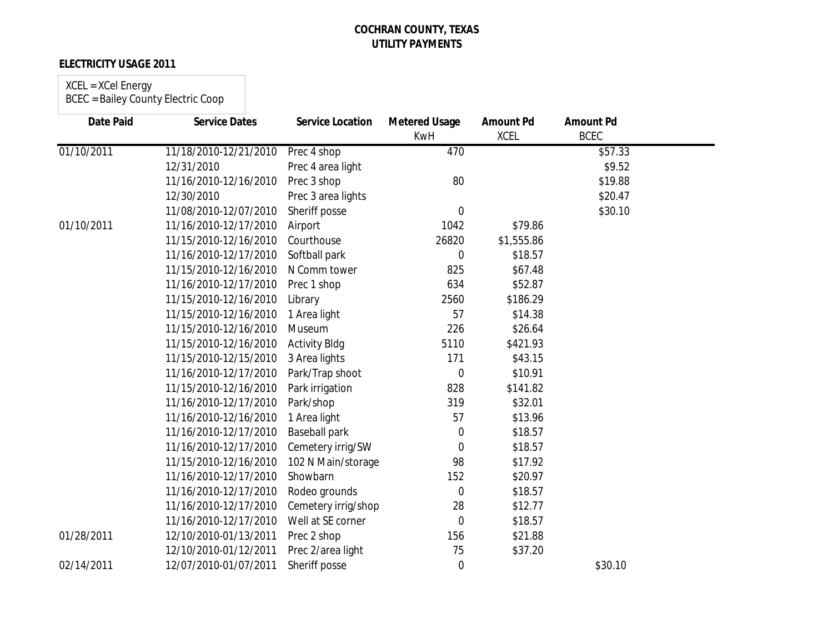### **ELECTRICITY USAGE 2011**

# XCEL = XCel Energy

| <b>Date Paid</b> | <b>Service Dates</b>  | <b>Service Location</b> | <b>Metered Usage</b><br><b>KwH</b> | <b>Amount Pd</b><br><b>XCEL</b> | <b>Amount Pd</b><br><b>BCEC</b> |  |
|------------------|-----------------------|-------------------------|------------------------------------|---------------------------------|---------------------------------|--|
| 01/10/2011       | 11/18/2010-12/21/2010 | Prec 4 shop             | 470                                |                                 | \$57.33                         |  |
|                  | 12/31/2010            | Prec 4 area light       |                                    |                                 | \$9.52                          |  |
|                  | 11/16/2010-12/16/2010 | Prec 3 shop             | 80                                 |                                 | \$19.88                         |  |
|                  | 12/30/2010            | Prec 3 area lights      |                                    |                                 | \$20.47                         |  |
|                  | 11/08/2010-12/07/2010 | Sheriff posse           | $\overline{0}$                     |                                 | \$30.10                         |  |
| 01/10/2011       | 11/16/2010-12/17/2010 | Airport                 | 1042                               | \$79.86                         |                                 |  |
|                  | 11/15/2010-12/16/2010 | Courthouse              | 26820                              | \$1,555.86                      |                                 |  |
|                  | 11/16/2010-12/17/2010 | Softball park           | 0                                  | \$18.57                         |                                 |  |
|                  | 11/15/2010-12/16/2010 | N Comm tower            | 825                                | \$67.48                         |                                 |  |
|                  | 11/16/2010-12/17/2010 | Prec 1 shop             | 634                                | \$52.87                         |                                 |  |
|                  | 11/15/2010-12/16/2010 | Library                 | 2560                               | \$186.29                        |                                 |  |
|                  | 11/15/2010-12/16/2010 | 1 Area light            | 57                                 | \$14.38                         |                                 |  |
|                  | 11/15/2010-12/16/2010 | Museum                  | 226                                | \$26.64                         |                                 |  |
|                  | 11/15/2010-12/16/2010 | <b>Activity Bldg</b>    | 5110                               | \$421.93                        |                                 |  |
|                  | 11/15/2010-12/15/2010 | 3 Area lights           | 171                                | \$43.15                         |                                 |  |
|                  | 11/16/2010-12/17/2010 | Park/Trap shoot         | $\overline{0}$                     | \$10.91                         |                                 |  |
|                  | 11/15/2010-12/16/2010 | Park irrigation         | 828                                | \$141.82                        |                                 |  |
|                  | 11/16/2010-12/17/2010 | Park/shop               | 319                                | \$32.01                         |                                 |  |
|                  | 11/16/2010-12/16/2010 | 1 Area light            | 57                                 | \$13.96                         |                                 |  |
|                  | 11/16/2010-12/17/2010 | <b>Baseball park</b>    | $\boldsymbol{0}$                   | \$18.57                         |                                 |  |
|                  | 11/16/2010-12/17/2010 | Cemetery irrig/SW       | $\overline{0}$                     | \$18.57                         |                                 |  |
|                  | 11/15/2010-12/16/2010 | 102 N Main/storage      | 98                                 | \$17.92                         |                                 |  |
|                  | 11/16/2010-12/17/2010 | Showbarn                | 152                                | \$20.97                         |                                 |  |
|                  | 11/16/2010-12/17/2010 | Rodeo grounds           | $\mathbf 0$                        | \$18.57                         |                                 |  |
|                  | 11/16/2010-12/17/2010 | Cemetery irrig/shop     | 28                                 | \$12.77                         |                                 |  |
|                  | 11/16/2010-12/17/2010 | Well at SE corner       | $\overline{0}$                     | \$18.57                         |                                 |  |
| 01/28/2011       | 12/10/2010-01/13/2011 | Prec 2 shop             | 156                                | \$21.88                         |                                 |  |
|                  | 12/10/2010-01/12/2011 | Prec 2/area light       | 75                                 | \$37.20                         |                                 |  |
| 02/14/2011       | 12/07/2010-01/07/2011 | Sheriff posse           | $\mathbf 0$                        |                                 | \$30.10                         |  |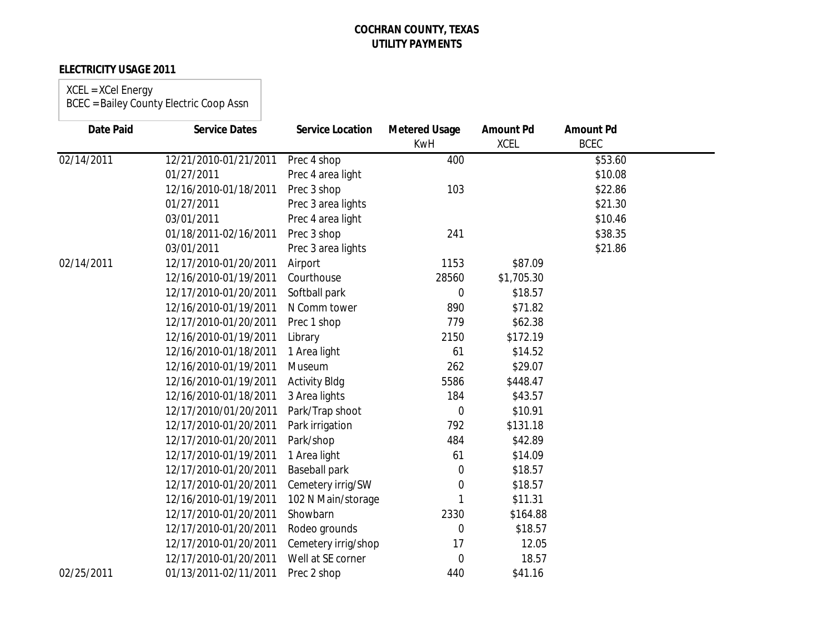### **ELECTRICITY USAGE 2011**

## XCEL = XCel Energy

| <b>Date Paid</b> | <b>Service Dates</b>  | <b>Service Location</b> | <b>Metered Usage</b><br><b>KwH</b> | <b>Amount Pd</b><br><b>XCEL</b> | <b>Amount Pd</b><br><b>BCEC</b> |  |
|------------------|-----------------------|-------------------------|------------------------------------|---------------------------------|---------------------------------|--|
| 02/14/2011       | 12/21/2010-01/21/2011 | Prec 4 shop             | 400                                |                                 | \$53.60                         |  |
|                  | 01/27/2011            | Prec 4 area light       |                                    |                                 | \$10.08                         |  |
|                  | 12/16/2010-01/18/2011 | Prec 3 shop             | 103                                |                                 | \$22.86                         |  |
|                  | 01/27/2011            | Prec 3 area lights      |                                    |                                 | \$21.30                         |  |
|                  | 03/01/2011            | Prec 4 area light       |                                    |                                 | \$10.46                         |  |
|                  | 01/18/2011-02/16/2011 | Prec 3 shop             | 241                                |                                 | \$38.35                         |  |
|                  | 03/01/2011            | Prec 3 area lights      |                                    |                                 | \$21.86                         |  |
| 02/14/2011       | 12/17/2010-01/20/2011 | Airport                 | 1153                               | \$87.09                         |                                 |  |
|                  | 12/16/2010-01/19/2011 | Courthouse              | 28560                              | \$1,705.30                      |                                 |  |
|                  | 12/17/2010-01/20/2011 | Softball park           | $\mathbf 0$                        | \$18.57                         |                                 |  |
|                  | 12/16/2010-01/19/2011 | N Comm tower            | 890                                | \$71.82                         |                                 |  |
|                  | 12/17/2010-01/20/2011 | Prec 1 shop             | 779                                | \$62.38                         |                                 |  |
|                  | 12/16/2010-01/19/2011 | Library                 | 2150                               | \$172.19                        |                                 |  |
|                  | 12/16/2010-01/18/2011 | 1 Area light            | 61                                 | \$14.52                         |                                 |  |
|                  | 12/16/2010-01/19/2011 | Museum                  | 262                                | \$29.07                         |                                 |  |
|                  | 12/16/2010-01/19/2011 | <b>Activity Bldg</b>    | 5586                               | \$448.47                        |                                 |  |
|                  | 12/16/2010-01/18/2011 | 3 Area lights           | 184                                | \$43.57                         |                                 |  |
|                  | 12/17/2010/01/20/2011 | Park/Trap shoot         | 0                                  | \$10.91                         |                                 |  |
|                  | 12/17/2010-01/20/2011 | Park irrigation         | 792                                | \$131.18                        |                                 |  |
|                  | 12/17/2010-01/20/2011 | Park/shop               | 484                                | \$42.89                         |                                 |  |
|                  | 12/17/2010-01/19/2011 | 1 Area light            | 61                                 | \$14.09                         |                                 |  |
|                  | 12/17/2010-01/20/2011 | Baseball park           | 0                                  | \$18.57                         |                                 |  |
|                  | 12/17/2010-01/20/2011 | Cemetery irrig/SW       | 0                                  | \$18.57                         |                                 |  |
|                  | 12/16/2010-01/19/2011 | 102 N Main/storage      | 1                                  | \$11.31                         |                                 |  |
|                  | 12/17/2010-01/20/2011 | Showbarn                | 2330                               | \$164.88                        |                                 |  |
|                  | 12/17/2010-01/20/2011 | Rodeo grounds           | 0                                  | \$18.57                         |                                 |  |
|                  | 12/17/2010-01/20/2011 | Cemetery irrig/shop     | 17                                 | 12.05                           |                                 |  |
|                  | 12/17/2010-01/20/2011 | Well at SE corner       | $\mathbf 0$                        | 18.57                           |                                 |  |
| 02/25/2011       | 01/13/2011-02/11/2011 | Prec 2 shop             | 440                                | \$41.16                         |                                 |  |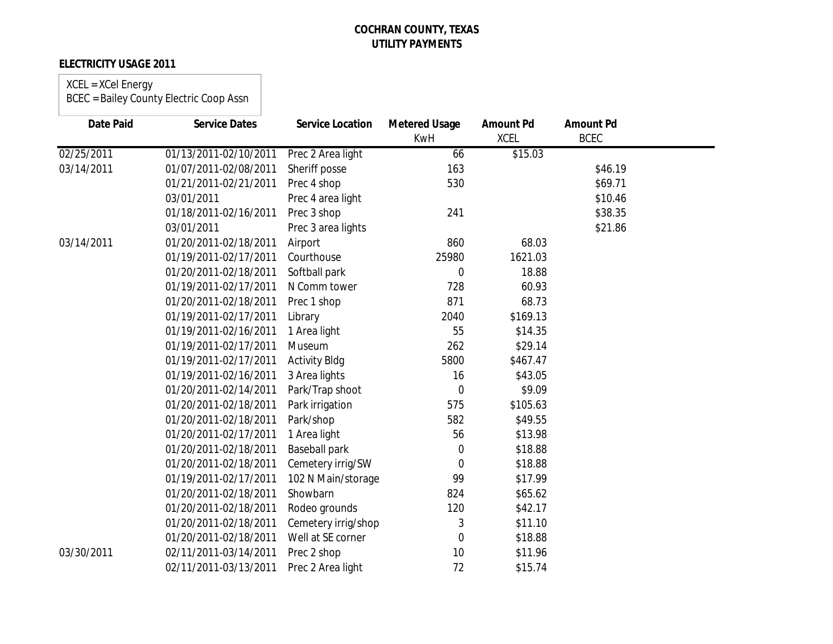## **ELECTRICITY USAGE 2011**

### XCEL = XCel Energy BCEC = Bailey County Electric Coop Assn

| <b>Date Paid</b> | <b>Service Dates</b>  | <b>Service Location</b> | <b>Metered Usage</b><br><b>KwH</b> | <b>Amount Pd</b><br><b>XCEL</b> | <b>Amount Pd</b><br><b>BCEC</b> |  |
|------------------|-----------------------|-------------------------|------------------------------------|---------------------------------|---------------------------------|--|
| 02/25/2011       | 01/13/2011-02/10/2011 | Prec 2 Area light       | 66                                 | \$15.03                         |                                 |  |
| 03/14/2011       | 01/07/2011-02/08/2011 | Sheriff posse           | 163                                |                                 | \$46.19                         |  |
|                  | 01/21/2011-02/21/2011 | Prec 4 shop             | 530                                |                                 | \$69.71                         |  |
|                  | 03/01/2011            | Prec 4 area light       |                                    |                                 | \$10.46                         |  |
|                  | 01/18/2011-02/16/2011 | Prec 3 shop             | 241                                |                                 | \$38.35                         |  |
|                  | 03/01/2011            | Prec 3 area lights      |                                    |                                 | \$21.86                         |  |
| 03/14/2011       | 01/20/2011-02/18/2011 | Airport                 | 860                                | 68.03                           |                                 |  |
|                  | 01/19/2011-02/17/2011 | Courthouse              | 25980                              | 1621.03                         |                                 |  |
|                  | 01/20/2011-02/18/2011 | Softball park           | $\boldsymbol{0}$                   | 18.88                           |                                 |  |
|                  | 01/19/2011-02/17/2011 | N Comm tower            | 728                                | 60.93                           |                                 |  |
|                  | 01/20/2011-02/18/2011 | Prec 1 shop             | 871                                | 68.73                           |                                 |  |
|                  | 01/19/2011-02/17/2011 | Library                 | 2040                               | \$169.13                        |                                 |  |
|                  | 01/19/2011-02/16/2011 | 1 Area light            | 55                                 | \$14.35                         |                                 |  |
|                  | 01/19/2011-02/17/2011 | Museum                  | 262                                | \$29.14                         |                                 |  |
|                  | 01/19/2011-02/17/2011 | <b>Activity Bldg</b>    | 5800                               | \$467.47                        |                                 |  |
|                  | 01/19/2011-02/16/2011 | 3 Area lights           | 16                                 | \$43.05                         |                                 |  |
|                  | 01/20/2011-02/14/2011 | Park/Trap shoot         | $\mathbf 0$                        | \$9.09                          |                                 |  |
|                  | 01/20/2011-02/18/2011 | Park irrigation         | 575                                | \$105.63                        |                                 |  |
|                  | 01/20/2011-02/18/2011 | Park/shop               | 582                                | \$49.55                         |                                 |  |
|                  | 01/20/2011-02/17/2011 | 1 Area light            | 56                                 | \$13.98                         |                                 |  |
|                  | 01/20/2011-02/18/2011 | Baseball park           | 0                                  | \$18.88                         |                                 |  |
|                  | 01/20/2011-02/18/2011 | Cemetery irrig/SW       | 0                                  | \$18.88                         |                                 |  |
|                  | 01/19/2011-02/17/2011 | 102 N Main/storage      | 99                                 | \$17.99                         |                                 |  |
|                  | 01/20/2011-02/18/2011 | Showbarn                | 824                                | \$65.62                         |                                 |  |
|                  | 01/20/2011-02/18/2011 | Rodeo grounds           | 120                                | \$42.17                         |                                 |  |
|                  | 01/20/2011-02/18/2011 | Cemetery irrig/shop     | 3                                  | \$11.10                         |                                 |  |
|                  | 01/20/2011-02/18/2011 | Well at SE corner       | 0                                  | \$18.88                         |                                 |  |
| 03/30/2011       | 02/11/2011-03/14/2011 | Prec 2 shop             | 10                                 | \$11.96                         |                                 |  |
|                  | 02/11/2011-03/13/2011 | Prec 2 Area light       | 72                                 | \$15.74                         |                                 |  |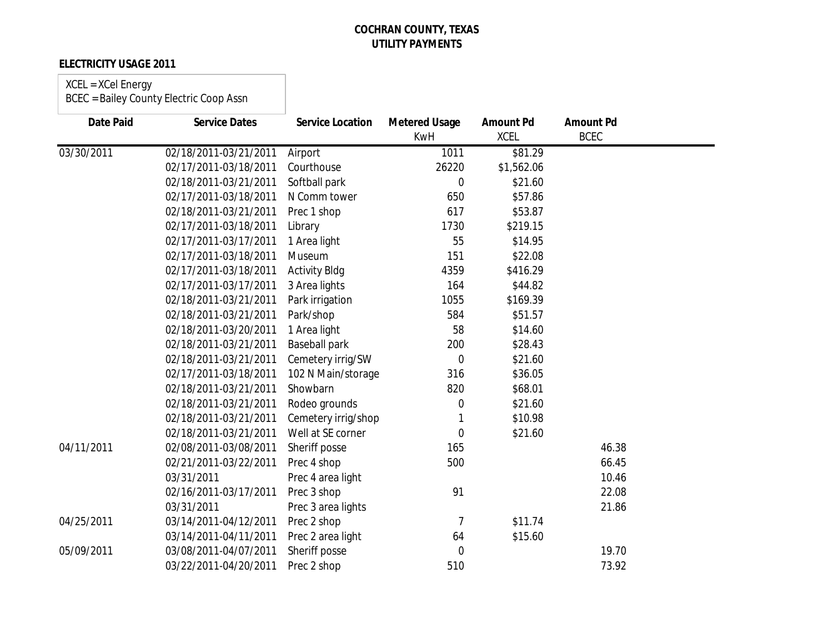## **ELECTRICITY USAGE 2011**

# XCEL = XCel Energy

| <b>Date Paid</b> | <b>Service Dates</b>  | <b>Service Location</b> | <b>Metered Usage</b><br><b>KwH</b> | <b>Amount Pd</b><br><b>XCEL</b> | <b>Amount Pd</b><br><b>BCEC</b> |  |
|------------------|-----------------------|-------------------------|------------------------------------|---------------------------------|---------------------------------|--|
| 03/30/2011       | 02/18/2011-03/21/2011 | Airport                 | 1011                               | $\overline{$81.29}$             |                                 |  |
|                  | 02/17/2011-03/18/2011 | Courthouse              | 26220                              | \$1,562.06                      |                                 |  |
|                  | 02/18/2011-03/21/2011 | Softball park           | 0                                  | \$21.60                         |                                 |  |
|                  | 02/17/2011-03/18/2011 | N Comm tower            | 650                                | \$57.86                         |                                 |  |
|                  | 02/18/2011-03/21/2011 | Prec 1 shop             | 617                                | \$53.87                         |                                 |  |
|                  | 02/17/2011-03/18/2011 | Library                 | 1730                               | \$219.15                        |                                 |  |
|                  | 02/17/2011-03/17/2011 | 1 Area light            | 55                                 | \$14.95                         |                                 |  |
|                  | 02/17/2011-03/18/2011 | Museum                  | 151                                | \$22.08                         |                                 |  |
|                  | 02/17/2011-03/18/2011 | <b>Activity Bldg</b>    | 4359                               | \$416.29                        |                                 |  |
|                  | 02/17/2011-03/17/2011 | 3 Area lights           | 164                                | \$44.82                         |                                 |  |
|                  | 02/18/2011-03/21/2011 | Park irrigation         | 1055                               | \$169.39                        |                                 |  |
|                  | 02/18/2011-03/21/2011 | Park/shop               | 584                                | \$51.57                         |                                 |  |
|                  | 02/18/2011-03/20/2011 | 1 Area light            | 58                                 | \$14.60                         |                                 |  |
|                  | 02/18/2011-03/21/2011 | <b>Baseball park</b>    | 200                                | \$28.43                         |                                 |  |
|                  | 02/18/2011-03/21/2011 | Cemetery irrig/SW       | $\overline{0}$                     | \$21.60                         |                                 |  |
|                  | 02/17/2011-03/18/2011 | 102 N Main/storage      | 316                                | \$36.05                         |                                 |  |
|                  | 02/18/2011-03/21/2011 | Showbarn                | 820                                | \$68.01                         |                                 |  |
|                  | 02/18/2011-03/21/2011 | Rodeo grounds           | 0                                  | \$21.60                         |                                 |  |
|                  | 02/18/2011-03/21/2011 | Cemetery irrig/shop     |                                    | \$10.98                         |                                 |  |
|                  | 02/18/2011-03/21/2011 | Well at SE corner       | 0                                  | \$21.60                         |                                 |  |
| 04/11/2011       | 02/08/2011-03/08/2011 | Sheriff posse           | 165                                |                                 | 46.38                           |  |
|                  | 02/21/2011-03/22/2011 | Prec 4 shop             | 500                                |                                 | 66.45                           |  |
|                  | 03/31/2011            | Prec 4 area light       |                                    |                                 | 10.46                           |  |
|                  | 02/16/2011-03/17/2011 | Prec 3 shop             | 91                                 |                                 | 22.08                           |  |
|                  | 03/31/2011            | Prec 3 area lights      |                                    |                                 | 21.86                           |  |
| 04/25/2011       | 03/14/2011-04/12/2011 | Prec 2 shop             | 7                                  | \$11.74                         |                                 |  |
|                  | 03/14/2011-04/11/2011 | Prec 2 area light       | 64                                 | \$15.60                         |                                 |  |
| 05/09/2011       | 03/08/2011-04/07/2011 | Sheriff posse           | $\mathbf 0$                        |                                 | 19.70                           |  |
|                  | 03/22/2011-04/20/2011 | Prec 2 shop             | 510                                |                                 | 73.92                           |  |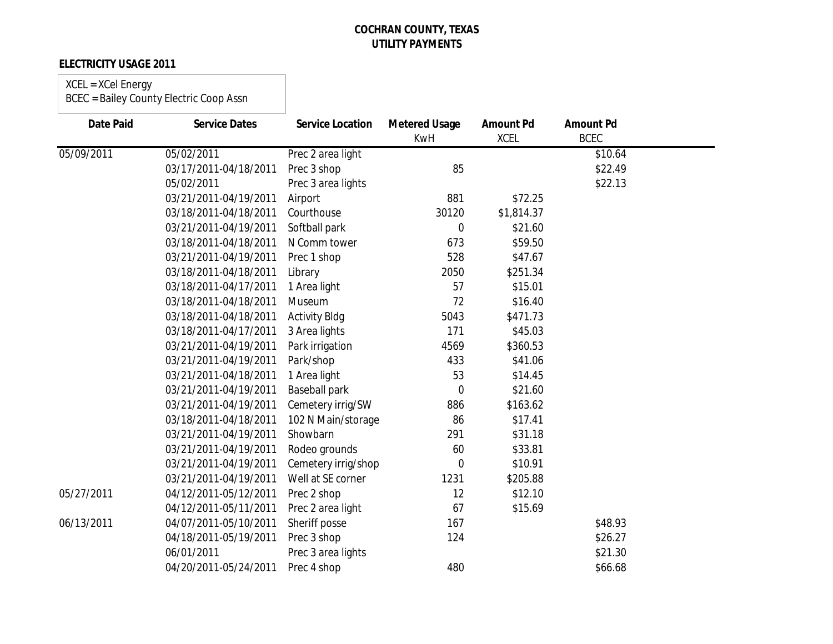### **ELECTRICITY USAGE 2011**

### XCEL = XCel Energy

| <b>Date Paid</b> | <b>Service Dates</b>  | <b>Service Location</b> | <b>Metered Usage</b><br><b>KwH</b> | <b>Amount Pd</b><br><b>XCEL</b> | <b>Amount Pd</b><br><b>BCEC</b> |  |
|------------------|-----------------------|-------------------------|------------------------------------|---------------------------------|---------------------------------|--|
| 05/09/2011       | 05/02/2011            | Prec 2 area light       |                                    |                                 | \$10.64                         |  |
|                  | 03/17/2011-04/18/2011 | Prec 3 shop             | 85                                 |                                 | \$22.49                         |  |
|                  | 05/02/2011            | Prec 3 area lights      |                                    |                                 | \$22.13                         |  |
|                  | 03/21/2011-04/19/2011 | Airport                 | 881                                | \$72.25                         |                                 |  |
|                  | 03/18/2011-04/18/2011 | Courthouse              | 30120                              | \$1,814.37                      |                                 |  |
|                  | 03/21/2011-04/19/2011 | Softball park           | 0                                  | \$21.60                         |                                 |  |
|                  | 03/18/2011-04/18/2011 | N Comm tower            | 673                                | \$59.50                         |                                 |  |
|                  | 03/21/2011-04/19/2011 | Prec 1 shop             | 528                                | \$47.67                         |                                 |  |
|                  | 03/18/2011-04/18/2011 | Library                 | 2050                               | \$251.34                        |                                 |  |
|                  | 03/18/2011-04/17/2011 | 1 Area light            | 57                                 | \$15.01                         |                                 |  |
|                  | 03/18/2011-04/18/2011 | Museum                  | 72                                 | \$16.40                         |                                 |  |
|                  | 03/18/2011-04/18/2011 | <b>Activity Bldg</b>    | 5043                               | \$471.73                        |                                 |  |
|                  | 03/18/2011-04/17/2011 | 3 Area lights           | 171                                | \$45.03                         |                                 |  |
|                  | 03/21/2011-04/19/2011 | Park irrigation         | 4569                               | \$360.53                        |                                 |  |
|                  | 03/21/2011-04/19/2011 | Park/shop               | 433                                | \$41.06                         |                                 |  |
|                  | 03/21/2011-04/18/2011 | 1 Area light            | 53                                 | \$14.45                         |                                 |  |
|                  | 03/21/2011-04/19/2011 | <b>Baseball park</b>    | $\mathbf 0$                        | \$21.60                         |                                 |  |
|                  | 03/21/2011-04/19/2011 | Cemetery irrig/SW       | 886                                | \$163.62                        |                                 |  |
|                  | 03/18/2011-04/18/2011 | 102 N Main/storage      | 86                                 | \$17.41                         |                                 |  |
|                  | 03/21/2011-04/19/2011 | Showbarn                | 291                                | \$31.18                         |                                 |  |
|                  | 03/21/2011-04/19/2011 | Rodeo grounds           | 60                                 | \$33.81                         |                                 |  |
|                  | 03/21/2011-04/19/2011 | Cemetery irrig/shop     | 0                                  | \$10.91                         |                                 |  |
|                  | 03/21/2011-04/19/2011 | Well at SE corner       | 1231                               | \$205.88                        |                                 |  |
| 05/27/2011       | 04/12/2011-05/12/2011 | Prec 2 shop             | 12                                 | \$12.10                         |                                 |  |
|                  | 04/12/2011-05/11/2011 | Prec 2 area light       | 67                                 | \$15.69                         |                                 |  |
| 06/13/2011       | 04/07/2011-05/10/2011 | Sheriff posse           | 167                                |                                 | \$48.93                         |  |
|                  | 04/18/2011-05/19/2011 | Prec 3 shop             | 124                                |                                 | \$26.27                         |  |
|                  | 06/01/2011            | Prec 3 area lights      |                                    |                                 | \$21.30                         |  |
|                  | 04/20/2011-05/24/2011 | Prec 4 shop             | 480                                |                                 | \$66.68                         |  |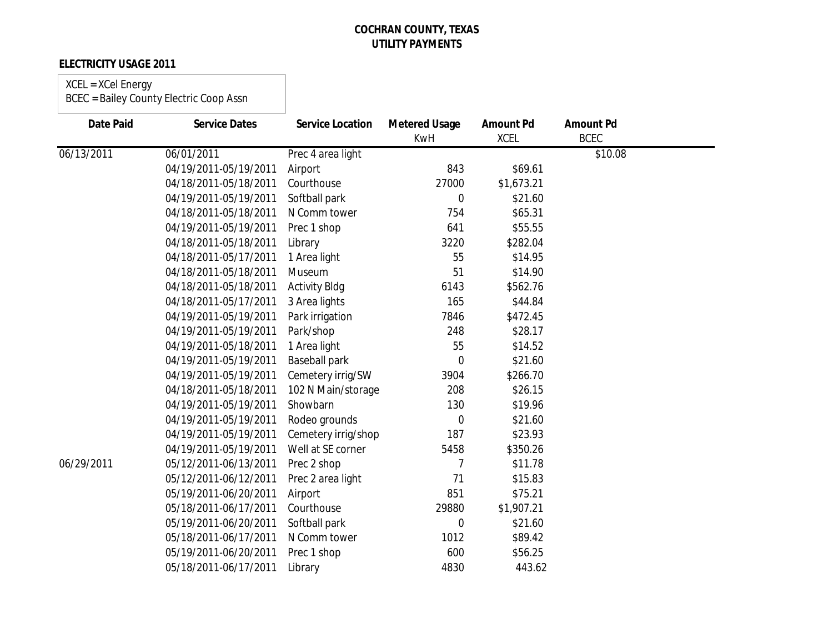### **ELECTRICITY USAGE 2011**

### XCEL = XCel Energy

| <b>Date Paid</b> | <b>Service Dates</b>  | <b>Service Location</b> | <b>Metered Usage</b><br><b>KwH</b> | <b>Amount Pd</b><br><b>XCEL</b> | <b>Amount Pd</b><br><b>BCEC</b> |  |
|------------------|-----------------------|-------------------------|------------------------------------|---------------------------------|---------------------------------|--|
| 06/13/2011       | 06/01/2011            | Prec 4 area light       |                                    |                                 | \$10.08                         |  |
|                  | 04/19/2011-05/19/2011 | Airport                 | 843                                | \$69.61                         |                                 |  |
|                  | 04/18/2011-05/18/2011 | Courthouse              | 27000                              | \$1,673.21                      |                                 |  |
|                  | 04/19/2011-05/19/2011 | Softball park           | $\overline{0}$                     | \$21.60                         |                                 |  |
|                  | 04/18/2011-05/18/2011 | N Comm tower            | 754                                | \$65.31                         |                                 |  |
|                  | 04/19/2011-05/19/2011 | Prec 1 shop             | 641                                | \$55.55                         |                                 |  |
|                  | 04/18/2011-05/18/2011 | Library                 | 3220                               | \$282.04                        |                                 |  |
|                  | 04/18/2011-05/17/2011 | 1 Area light            | 55                                 | \$14.95                         |                                 |  |
|                  | 04/18/2011-05/18/2011 | Museum                  | 51                                 | \$14.90                         |                                 |  |
|                  | 04/18/2011-05/18/2011 | <b>Activity Bldg</b>    | 6143                               | \$562.76                        |                                 |  |
|                  | 04/18/2011-05/17/2011 | 3 Area lights           | 165                                | \$44.84                         |                                 |  |
|                  | 04/19/2011-05/19/2011 | Park irrigation         | 7846                               | \$472.45                        |                                 |  |
|                  | 04/19/2011-05/19/2011 | Park/shop               | 248                                | \$28.17                         |                                 |  |
|                  | 04/19/2011-05/18/2011 | 1 Area light            | 55                                 | \$14.52                         |                                 |  |
|                  | 04/19/2011-05/19/2011 | Baseball park           | 0                                  | \$21.60                         |                                 |  |
|                  | 04/19/2011-05/19/2011 | Cemetery irrig/SW       | 3904                               | \$266.70                        |                                 |  |
|                  | 04/18/2011-05/18/2011 | 102 N Main/storage      | 208                                | \$26.15                         |                                 |  |
|                  | 04/19/2011-05/19/2011 | Showbarn                | 130                                | \$19.96                         |                                 |  |
|                  | 04/19/2011-05/19/2011 | Rodeo grounds           | 0                                  | \$21.60                         |                                 |  |
|                  | 04/19/2011-05/19/2011 | Cemetery irrig/shop     | 187                                | \$23.93                         |                                 |  |
|                  | 04/19/2011-05/19/2011 | Well at SE corner       | 5458                               | \$350.26                        |                                 |  |
| 06/29/2011       | 05/12/2011-06/13/2011 | Prec 2 shop             | 7                                  | \$11.78                         |                                 |  |
|                  | 05/12/2011-06/12/2011 | Prec 2 area light       | 71                                 | \$15.83                         |                                 |  |
|                  | 05/19/2011-06/20/2011 | Airport                 | 851                                | \$75.21                         |                                 |  |
|                  | 05/18/2011-06/17/2011 | Courthouse              | 29880                              | \$1,907.21                      |                                 |  |
|                  | 05/19/2011-06/20/2011 | Softball park           | 0                                  | \$21.60                         |                                 |  |
|                  | 05/18/2011-06/17/2011 | N Comm tower            | 1012                               | \$89.42                         |                                 |  |
|                  | 05/19/2011-06/20/2011 | Prec 1 shop             | 600                                | \$56.25                         |                                 |  |
|                  | 05/18/2011-06/17/2011 | Library                 | 4830                               | 443.62                          |                                 |  |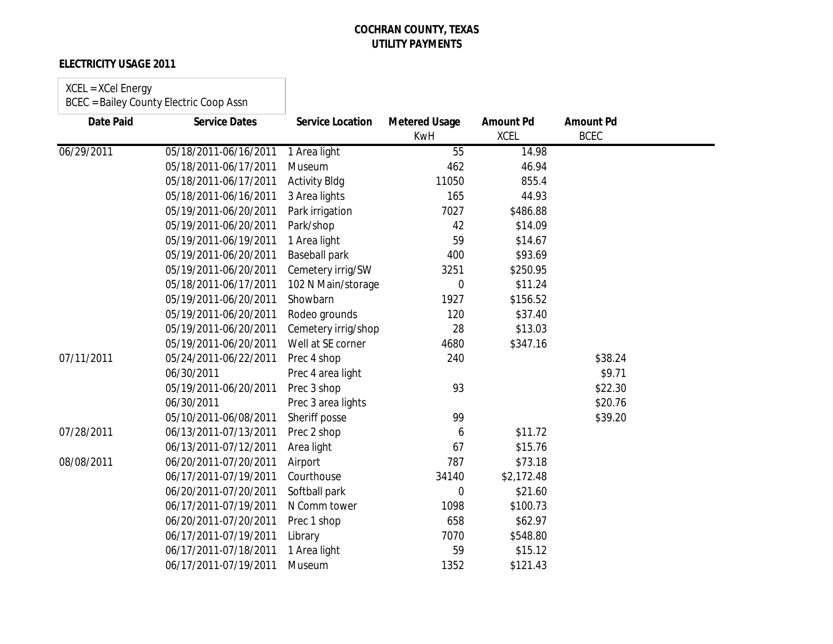## **ELECTRICITY USAGE 2011**

#### XCEL = XCel Energy

| Date Paid  | <b>Service Dates</b>  | <b>Service Location</b> | <b>Metered Usage</b><br><b>KwH</b> | <b>Amount Pd</b><br><b>XCEL</b> | <b>Amount Pd</b><br><b>BCEC</b> |  |
|------------|-----------------------|-------------------------|------------------------------------|---------------------------------|---------------------------------|--|
| 06/29/2011 | 05/18/2011-06/16/2011 | 1 Area light            | 55                                 | 14.98                           |                                 |  |
|            | 05/18/2011-06/17/2011 | Museum                  | 462                                | 46.94                           |                                 |  |
|            | 05/18/2011-06/17/2011 | <b>Activity Bldg</b>    | 11050                              | 855.4                           |                                 |  |
|            | 05/18/2011-06/16/2011 | 3 Area lights           | 165                                | 44.93                           |                                 |  |
|            | 05/19/2011-06/20/2011 | Park irrigation         | 7027                               | \$486.88                        |                                 |  |
|            | 05/19/2011-06/20/2011 | Park/shop               | 42                                 | \$14.09                         |                                 |  |
|            | 05/19/2011-06/19/2011 | 1 Area light            | 59                                 | \$14.67                         |                                 |  |
|            | 05/19/2011-06/20/2011 | <b>Baseball park</b>    | 400                                | \$93.69                         |                                 |  |
|            | 05/19/2011-06/20/2011 | Cemetery irrig/SW       | 3251                               | \$250.95                        |                                 |  |
|            | 05/18/2011-06/17/2011 | 102 N Main/storage      | 0                                  | \$11.24                         |                                 |  |
|            | 05/19/2011-06/20/2011 | Showbarn                | 1927                               | \$156.52                        |                                 |  |
|            | 05/19/2011-06/20/2011 | Rodeo grounds           | 120                                | \$37.40                         |                                 |  |
|            | 05/19/2011-06/20/2011 | Cemetery irrig/shop     | 28                                 | \$13.03                         |                                 |  |
|            | 05/19/2011-06/20/2011 | Well at SE corner       | 4680                               | \$347.16                        |                                 |  |
| 07/11/2011 | 05/24/2011-06/22/2011 | Prec 4 shop             | 240                                |                                 | \$38.24                         |  |
|            | 06/30/2011            | Prec 4 area light       |                                    |                                 | \$9.71                          |  |
|            | 05/19/2011-06/20/2011 | Prec 3 shop             | 93                                 |                                 | \$22.30                         |  |
|            | 06/30/2011            | Prec 3 area lights      |                                    |                                 | \$20.76                         |  |
|            | 05/10/2011-06/08/2011 | Sheriff posse           | 99                                 |                                 | \$39.20                         |  |
| 07/28/2011 | 06/13/2011-07/13/2011 | Prec 2 shop             | 6                                  | \$11.72                         |                                 |  |
|            | 06/13/2011-07/12/2011 | Area light              | 67                                 | \$15.76                         |                                 |  |
| 08/08/2011 | 06/20/2011-07/20/2011 | Airport                 | 787                                | \$73.18                         |                                 |  |
|            | 06/17/2011-07/19/2011 | Courthouse              | 34140                              | \$2,172.48                      |                                 |  |
|            | 06/20/2011-07/20/2011 | Softball park           | 0                                  | \$21.60                         |                                 |  |
|            | 06/17/2011-07/19/2011 | N Comm tower            | 1098                               | \$100.73                        |                                 |  |
|            | 06/20/2011-07/20/2011 | Prec 1 shop             | 658                                | \$62.97                         |                                 |  |
|            | 06/17/2011-07/19/2011 | Library                 | 7070                               | \$548.80                        |                                 |  |
|            | 06/17/2011-07/18/2011 | 1 Area light            | 59                                 | \$15.12                         |                                 |  |
|            | 06/17/2011-07/19/2011 | Museum                  | 1352                               | \$121.43                        |                                 |  |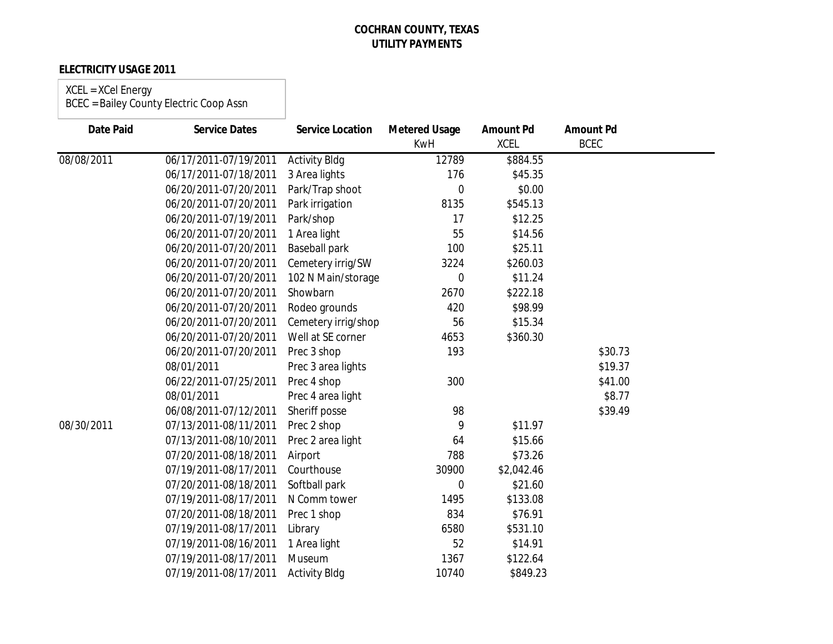## **ELECTRICITY USAGE 2011**

### XCEL = XCel Energy

| <b>Date Paid</b> | <b>Service Dates</b>  | <b>Service Location</b> | <b>Metered Usage</b><br><b>KwH</b> | <b>Amount Pd</b><br><b>XCEL</b> | <b>Amount Pd</b><br><b>BCEC</b> |  |
|------------------|-----------------------|-------------------------|------------------------------------|---------------------------------|---------------------------------|--|
| 08/08/2011       | 06/17/2011-07/19/2011 | <b>Activity Bldg</b>    | 12789                              | \$884.55                        |                                 |  |
|                  | 06/17/2011-07/18/2011 | 3 Area lights           | 176                                | \$45.35                         |                                 |  |
|                  | 06/20/2011-07/20/2011 | Park/Trap shoot         | $\overline{0}$                     | \$0.00                          |                                 |  |
|                  | 06/20/2011-07/20/2011 | Park irrigation         | 8135                               | \$545.13                        |                                 |  |
|                  | 06/20/2011-07/19/2011 | Park/shop               | 17                                 | \$12.25                         |                                 |  |
|                  | 06/20/2011-07/20/2011 | 1 Area light            | 55                                 | \$14.56                         |                                 |  |
|                  | 06/20/2011-07/20/2011 | <b>Baseball park</b>    | 100                                | \$25.11                         |                                 |  |
|                  | 06/20/2011-07/20/2011 | Cemetery irrig/SW       | 3224                               | \$260.03                        |                                 |  |
|                  | 06/20/2011-07/20/2011 | 102 N Main/storage      | $\overline{0}$                     | \$11.24                         |                                 |  |
|                  | 06/20/2011-07/20/2011 | Showbarn                | 2670                               | \$222.18                        |                                 |  |
|                  | 06/20/2011-07/20/2011 | Rodeo grounds           | 420                                | \$98.99                         |                                 |  |
|                  | 06/20/2011-07/20/2011 | Cemetery irrig/shop     | 56                                 | \$15.34                         |                                 |  |
|                  | 06/20/2011-07/20/2011 | Well at SE corner       | 4653                               | \$360.30                        |                                 |  |
|                  | 06/20/2011-07/20/2011 | Prec 3 shop             | 193                                |                                 | \$30.73                         |  |
|                  | 08/01/2011            | Prec 3 area lights      |                                    |                                 | \$19.37                         |  |
|                  | 06/22/2011-07/25/2011 | Prec 4 shop             | 300                                |                                 | \$41.00                         |  |
|                  | 08/01/2011            | Prec 4 area light       |                                    |                                 | \$8.77                          |  |
|                  | 06/08/2011-07/12/2011 | Sheriff posse           | 98                                 |                                 | \$39.49                         |  |
| 08/30/2011       | 07/13/2011-08/11/2011 | Prec 2 shop             | 9                                  | \$11.97                         |                                 |  |
|                  | 07/13/2011-08/10/2011 | Prec 2 area light       | 64                                 | \$15.66                         |                                 |  |
|                  | 07/20/2011-08/18/2011 | Airport                 | 788                                | \$73.26                         |                                 |  |
|                  | 07/19/2011-08/17/2011 | Courthouse              | 30900                              | \$2,042.46                      |                                 |  |
|                  | 07/20/2011-08/18/2011 | Softball park           | 0                                  | \$21.60                         |                                 |  |
|                  | 07/19/2011-08/17/2011 | N Comm tower            | 1495                               | \$133.08                        |                                 |  |
|                  | 07/20/2011-08/18/2011 | Prec 1 shop             | 834                                | \$76.91                         |                                 |  |
|                  | 07/19/2011-08/17/2011 | Library                 | 6580                               | \$531.10                        |                                 |  |
|                  | 07/19/2011-08/16/2011 | 1 Area light            | 52                                 | \$14.91                         |                                 |  |
|                  | 07/19/2011-08/17/2011 | Museum                  | 1367                               | \$122.64                        |                                 |  |
|                  | 07/19/2011-08/17/2011 | <b>Activity Bldg</b>    | 10740                              | \$849.23                        |                                 |  |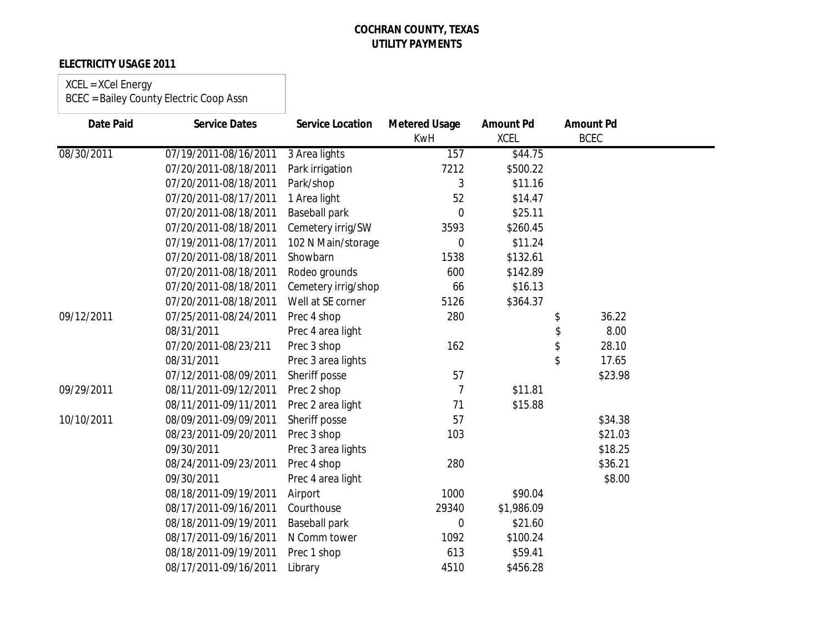## **ELECTRICITY USAGE 2011**

# XCEL = XCel Energy

| <b>Date Paid</b> | <b>Service Dates</b>  | <b>Service Location</b> | <b>Metered Usage</b><br><b>KwH</b> | <b>Amount Pd</b><br><b>XCEL</b> | <b>Amount Pd</b><br><b>BCEC</b> |  |
|------------------|-----------------------|-------------------------|------------------------------------|---------------------------------|---------------------------------|--|
| 08/30/2011       | 07/19/2011-08/16/2011 | 3 Area lights           | 157                                | \$44.75                         |                                 |  |
|                  | 07/20/2011-08/18/2011 | Park irrigation         | 7212                               | \$500.22                        |                                 |  |
|                  | 07/20/2011-08/18/2011 | Park/shop               | 3                                  | \$11.16                         |                                 |  |
|                  | 07/20/2011-08/17/2011 | 1 Area light            | 52                                 | \$14.47                         |                                 |  |
|                  | 07/20/2011-08/18/2011 | <b>Baseball park</b>    | $\mathbf 0$                        | \$25.11                         |                                 |  |
|                  | 07/20/2011-08/18/2011 | Cemetery irrig/SW       | 3593                               | \$260.45                        |                                 |  |
|                  | 07/19/2011-08/17/2011 | 102 N Main/storage      | 0                                  | \$11.24                         |                                 |  |
|                  | 07/20/2011-08/18/2011 | Showbarn                | 1538                               | \$132.61                        |                                 |  |
|                  | 07/20/2011-08/18/2011 | Rodeo grounds           | 600                                | \$142.89                        |                                 |  |
|                  | 07/20/2011-08/18/2011 | Cemetery irrig/shop     | 66                                 | \$16.13                         |                                 |  |
|                  | 07/20/2011-08/18/2011 | Well at SE corner       | 5126                               | \$364.37                        |                                 |  |
| 09/12/2011       | 07/25/2011-08/24/2011 | Prec 4 shop             | 280                                |                                 | 36.22                           |  |
|                  | 08/31/2011            | Prec 4 area light       |                                    |                                 | \$<br>8.00                      |  |
|                  | 07/20/2011-08/23/211  | Prec 3 shop             | 162                                |                                 | \$<br>28.10                     |  |
|                  | 08/31/2011            | Prec 3 area lights      |                                    |                                 | \$<br>17.65                     |  |
|                  | 07/12/2011-08/09/2011 | Sheriff posse           | 57                                 |                                 | \$23.98                         |  |
| 09/29/2011       | 08/11/2011-09/12/2011 | Prec 2 shop             | 7                                  | \$11.81                         |                                 |  |
|                  | 08/11/2011-09/11/2011 | Prec 2 area light       | 71                                 | \$15.88                         |                                 |  |
| 10/10/2011       | 08/09/2011-09/09/2011 | Sheriff posse           | 57                                 |                                 | \$34.38                         |  |
|                  | 08/23/2011-09/20/2011 | Prec 3 shop             | 103                                |                                 | \$21.03                         |  |
|                  | 09/30/2011            | Prec 3 area lights      |                                    |                                 | \$18.25                         |  |
|                  | 08/24/2011-09/23/2011 | Prec 4 shop             | 280                                |                                 | \$36.21                         |  |
|                  | 09/30/2011            | Prec 4 area light       |                                    |                                 | \$8.00                          |  |
|                  | 08/18/2011-09/19/2011 | Airport                 | 1000                               | \$90.04                         |                                 |  |
|                  | 08/17/2011-09/16/2011 | Courthouse              | 29340                              | \$1,986.09                      |                                 |  |
|                  | 08/18/2011-09/19/2011 | <b>Baseball park</b>    | 0                                  | \$21.60                         |                                 |  |
|                  | 08/17/2011-09/16/2011 | N Comm tower            | 1092                               | \$100.24                        |                                 |  |
|                  | 08/18/2011-09/19/2011 | Prec 1 shop             | 613                                | \$59.41                         |                                 |  |
|                  | 08/17/2011-09/16/2011 | Library                 | 4510                               | \$456.28                        |                                 |  |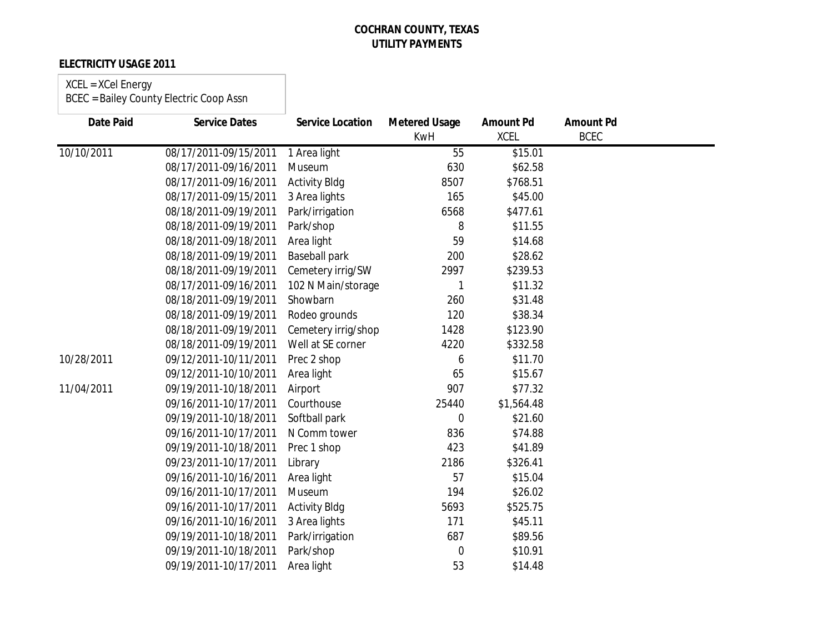## **ELECTRICITY USAGE 2011**

# XCEL = XCel Energy

| <b>Date Paid</b> | <b>Service Dates</b>  | <b>Service Location</b> | <b>Metered Usage</b> | <b>Amount Pd</b> | <b>Amount Pd</b> |  |
|------------------|-----------------------|-------------------------|----------------------|------------------|------------------|--|
|                  |                       |                         | <b>KwH</b>           | <b>XCEL</b>      | <b>BCEC</b>      |  |
| 10/10/2011       | 08/17/2011-09/15/2011 | 1 Area light            | 55                   | \$15.01          |                  |  |
|                  | 08/17/2011-09/16/2011 | Museum                  | 630                  | \$62.58          |                  |  |
|                  | 08/17/2011-09/16/2011 | <b>Activity Bldg</b>    | 8507                 | \$768.51         |                  |  |
|                  | 08/17/2011-09/15/2011 | 3 Area lights           | 165                  | \$45.00          |                  |  |
|                  | 08/18/2011-09/19/2011 | Park/irrigation         | 6568                 | \$477.61         |                  |  |
|                  | 08/18/2011-09/19/2011 | Park/shop               | 8                    | \$11.55          |                  |  |
|                  | 08/18/2011-09/18/2011 | Area light              | 59                   | \$14.68          |                  |  |
|                  | 08/18/2011-09/19/2011 | <b>Baseball park</b>    | 200                  | \$28.62          |                  |  |
|                  | 08/18/2011-09/19/2011 | Cemetery irrig/SW       | 2997                 | \$239.53         |                  |  |
|                  | 08/17/2011-09/16/2011 | 102 N Main/storage      |                      | \$11.32          |                  |  |
|                  | 08/18/2011-09/19/2011 | Showbarn                | 260                  | \$31.48          |                  |  |
|                  | 08/18/2011-09/19/2011 | Rodeo grounds           | 120                  | \$38.34          |                  |  |
|                  | 08/18/2011-09/19/2011 | Cemetery irrig/shop     | 1428                 | \$123.90         |                  |  |
|                  | 08/18/2011-09/19/2011 | Well at SE corner       | 4220                 | \$332.58         |                  |  |
| 10/28/2011       | 09/12/2011-10/11/2011 | Prec 2 shop             | 6                    | \$11.70          |                  |  |
|                  | 09/12/2011-10/10/2011 | Area light              | 65                   | \$15.67          |                  |  |
| 11/04/2011       | 09/19/2011-10/18/2011 | Airport                 | 907                  | \$77.32          |                  |  |
|                  | 09/16/2011-10/17/2011 | Courthouse              | 25440                | \$1,564.48       |                  |  |
|                  | 09/19/2011-10/18/2011 | Softball park           | $\overline{0}$       | \$21.60          |                  |  |
|                  | 09/16/2011-10/17/2011 | N Comm tower            | 836                  | \$74.88          |                  |  |
|                  | 09/19/2011-10/18/2011 | Prec 1 shop             | 423                  | \$41.89          |                  |  |
|                  | 09/23/2011-10/17/2011 | Library                 | 2186                 | \$326.41         |                  |  |
|                  | 09/16/2011-10/16/2011 | Area light              | 57                   | \$15.04          |                  |  |
|                  | 09/16/2011-10/17/2011 | Museum                  | 194                  | \$26.02          |                  |  |
|                  | 09/16/2011-10/17/2011 | <b>Activity Bldg</b>    | 5693                 | \$525.75         |                  |  |
|                  | 09/16/2011-10/16/2011 | 3 Area lights           | 171                  | \$45.11          |                  |  |
|                  | 09/19/2011-10/18/2011 | Park/irrigation         | 687                  | \$89.56          |                  |  |
|                  | 09/19/2011-10/18/2011 | Park/shop               | 0                    | \$10.91          |                  |  |
|                  | 09/19/2011-10/17/2011 | Area light              | 53                   | \$14.48          |                  |  |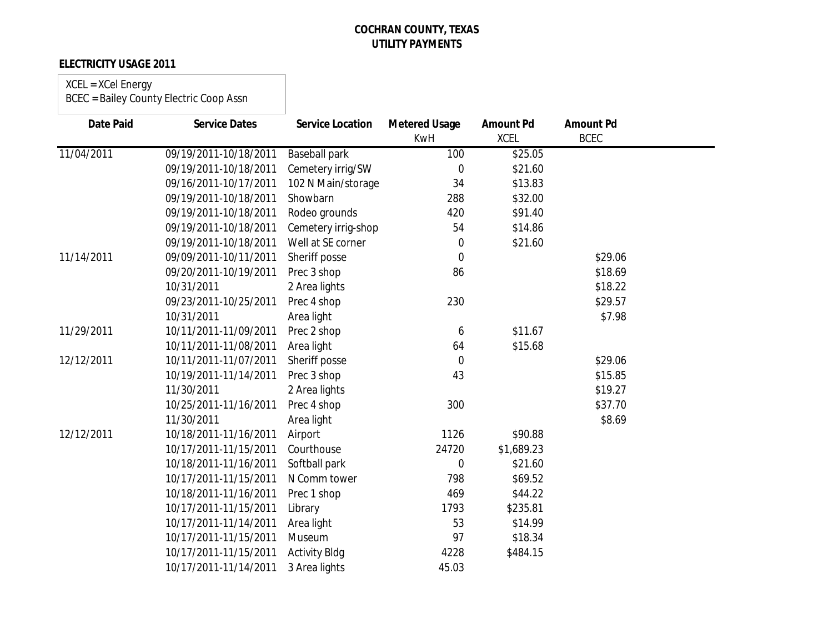## **ELECTRICITY USAGE 2011**

# XCEL = XCel Energy

| <b>Date Paid</b> | <b>Service Dates</b>  | <b>Service Location</b> | <b>Metered Usage</b> | <b>Amount Pd</b> | <b>Amount Pd</b> |  |
|------------------|-----------------------|-------------------------|----------------------|------------------|------------------|--|
|                  |                       |                         | <b>KwH</b>           | <b>XCEL</b>      | <b>BCEC</b>      |  |
| 11/04/2011       | 09/19/2011-10/18/2011 | <b>Baseball park</b>    | 100                  | \$25.05          |                  |  |
|                  | 09/19/2011-10/18/2011 | Cemetery irrig/SW       | $\mathbf 0$          | \$21.60          |                  |  |
|                  | 09/16/2011-10/17/2011 | 102 N Main/storage      | 34                   | \$13.83          |                  |  |
|                  | 09/19/2011-10/18/2011 | Showbarn                | 288                  | \$32.00          |                  |  |
|                  | 09/19/2011-10/18/2011 | Rodeo grounds           | 420                  | \$91.40          |                  |  |
|                  | 09/19/2011-10/18/2011 | Cemetery irrig-shop     | 54                   | \$14.86          |                  |  |
|                  | 09/19/2011-10/18/2011 | Well at SE corner       | $\mathbf 0$          | \$21.60          |                  |  |
| 11/14/2011       | 09/09/2011-10/11/2011 | Sheriff posse           | $\overline{0}$       |                  | \$29.06          |  |
|                  | 09/20/2011-10/19/2011 | Prec 3 shop             | 86                   |                  | \$18.69          |  |
|                  | 10/31/2011            | 2 Area lights           |                      |                  | \$18.22          |  |
|                  | 09/23/2011-10/25/2011 | Prec 4 shop             | 230                  |                  | \$29.57          |  |
|                  | 10/31/2011            | Area light              |                      |                  | \$7.98           |  |
| 11/29/2011       | 10/11/2011-11/09/2011 | Prec 2 shop             | 6                    | \$11.67          |                  |  |
|                  | 10/11/2011-11/08/2011 | Area light              | 64                   | \$15.68          |                  |  |
| 12/12/2011       | 10/11/2011-11/07/2011 | Sheriff posse           | $\mathbf 0$          |                  | \$29.06          |  |
|                  | 10/19/2011-11/14/2011 | Prec 3 shop             | 43                   |                  | \$15.85          |  |
|                  | 11/30/2011            | 2 Area lights           |                      |                  | \$19.27          |  |
|                  | 10/25/2011-11/16/2011 | Prec 4 shop             | 300                  |                  | \$37.70          |  |
|                  | 11/30/2011            | Area light              |                      |                  | \$8.69           |  |
| 12/12/2011       | 10/18/2011-11/16/2011 | Airport                 | 1126                 | \$90.88          |                  |  |
|                  | 10/17/2011-11/15/2011 | Courthouse              | 24720                | \$1,689.23       |                  |  |
|                  | 10/18/2011-11/16/2011 | Softball park           | $\overline{0}$       | \$21.60          |                  |  |
|                  | 10/17/2011-11/15/2011 | N Comm tower            | 798                  | \$69.52          |                  |  |
|                  | 10/18/2011-11/16/2011 | Prec 1 shop             | 469                  | \$44.22          |                  |  |
|                  | 10/17/2011-11/15/2011 | Library                 | 1793                 | \$235.81         |                  |  |
|                  | 10/17/2011-11/14/2011 | Area light              | 53                   | \$14.99          |                  |  |
|                  | 10/17/2011-11/15/2011 | Museum                  | 97                   | \$18.34          |                  |  |
|                  | 10/17/2011-11/15/2011 | <b>Activity Bldg</b>    | 4228                 | \$484.15         |                  |  |
|                  | 10/17/2011-11/14/2011 | 3 Area lights           | 45.03                |                  |                  |  |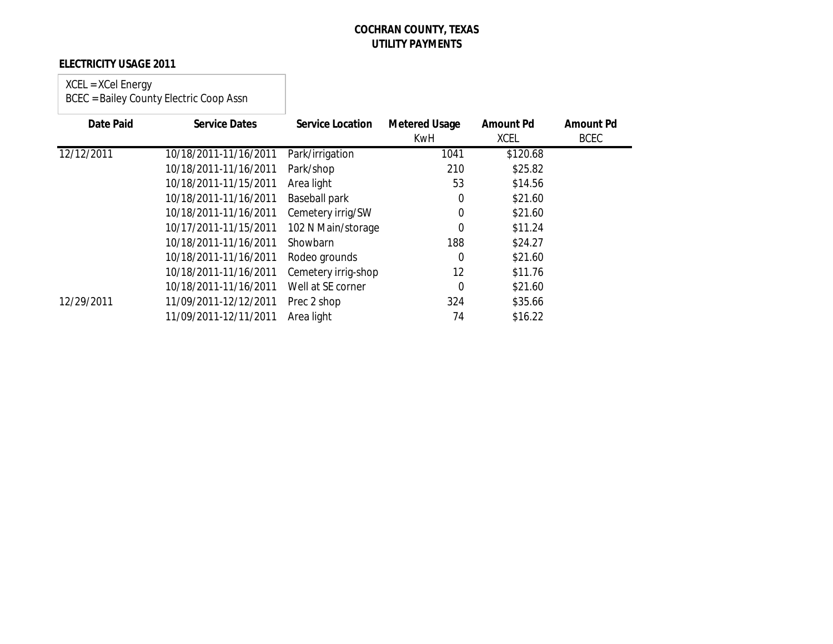## **ELECTRICITY USAGE 2011**

### XCEL = XCel Energy BCEC = Bailey County Electric Coop Assn

| Date Paid  | <b>Service Dates</b>  | <b>Service Location</b> | <b>Metered Usage</b><br>KwH | <b>Amount Pd</b><br><b>XCEL</b> | <b>Amount Pd</b><br><b>BCEC</b> |
|------------|-----------------------|-------------------------|-----------------------------|---------------------------------|---------------------------------|
| 12/12/2011 | 10/18/2011-11/16/2011 | Park/irrigation         | 1041                        | \$120.68                        |                                 |
|            | 10/18/2011-11/16/2011 | Park/shop               | 210                         | \$25.82                         |                                 |
|            | 10/18/2011-11/15/2011 | Area light              | 53                          | \$14.56                         |                                 |
|            | 10/18/2011-11/16/2011 | <b>Baseball park</b>    | 0                           | \$21.60                         |                                 |
|            | 10/18/2011-11/16/2011 | Cemetery irrig/SW       | 0                           | \$21.60                         |                                 |
|            | 10/17/2011-11/15/2011 | 102 N Main/storage      | $\mathbf 0$                 | \$11.24                         |                                 |
|            | 10/18/2011-11/16/2011 | Showbarn                | 188                         | \$24.27                         |                                 |
|            | 10/18/2011-11/16/2011 | Rodeo grounds           | $\mathbf 0$                 | \$21.60                         |                                 |
|            | 10/18/2011-11/16/2011 | Cemetery irrig-shop     | 12                          | \$11.76                         |                                 |
|            | 10/18/2011-11/16/2011 | Well at SE corner       | 0                           | \$21.60                         |                                 |
| 12/29/2011 | 11/09/2011-12/12/2011 | Prec 2 shop             | 324                         | \$35.66                         |                                 |
|            | 11/09/2011-12/11/2011 | Area light              | 74                          | \$16.22                         |                                 |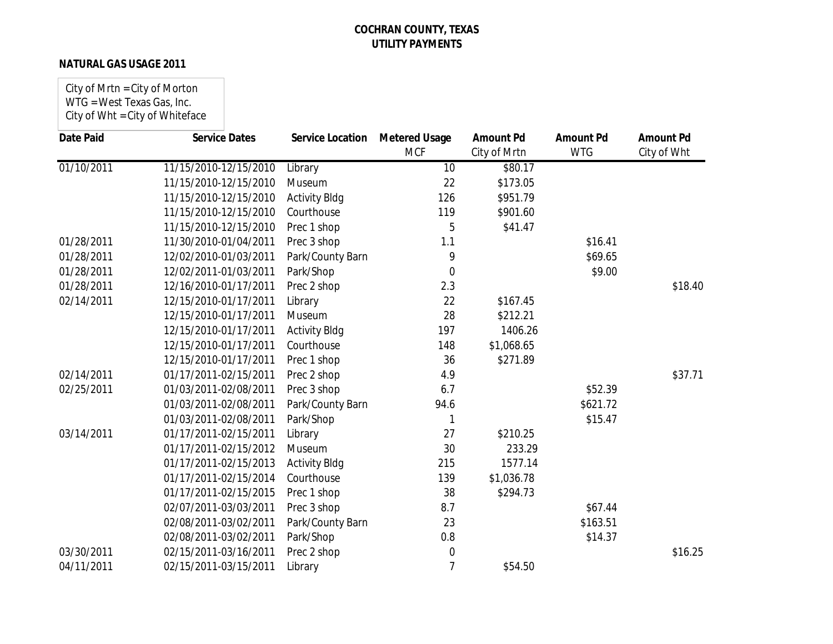### **NATURAL GAS USAGE 2011**

City of Mrtn = City of Morton WTG = West Texas Gas, Inc. City of Wht = City of Whiteface

| <b>Date Paid</b> | <b>Service Dates</b>  | <b>Service Location</b> | <b>Metered Usage</b> | <b>Amount Pd</b> | <b>Amount Pd</b> | <b>Amount Pd</b> |
|------------------|-----------------------|-------------------------|----------------------|------------------|------------------|------------------|
|                  |                       |                         | <b>MCF</b>           | City of Mrtn     | <b>WTG</b>       | City of Wht      |
| 01/10/2011       | 11/15/2010-12/15/2010 | Library                 | 10                   | \$80.17          |                  |                  |
|                  | 11/15/2010-12/15/2010 | Museum                  | 22                   | \$173.05         |                  |                  |
|                  | 11/15/2010-12/15/2010 | <b>Activity Bldg</b>    | 126                  | \$951.79         |                  |                  |
|                  | 11/15/2010-12/15/2010 | Courthouse              | 119                  | \$901.60         |                  |                  |
|                  | 11/15/2010-12/15/2010 | Prec 1 shop             | 5                    | \$41.47          |                  |                  |
| 01/28/2011       | 11/30/2010-01/04/2011 | Prec 3 shop             | 1.1                  |                  | \$16.41          |                  |
| 01/28/2011       | 12/02/2010-01/03/2011 | Park/County Barn        | 9                    |                  | \$69.65          |                  |
| 01/28/2011       | 12/02/2011-01/03/2011 | Park/Shop               | $\overline{0}$       |                  | \$9.00           |                  |
| 01/28/2011       | 12/16/2010-01/17/2011 | Prec 2 shop             | 2.3                  |                  |                  | \$18.40          |
| 02/14/2011       | 12/15/2010-01/17/2011 | Library                 | 22                   | \$167.45         |                  |                  |
|                  | 12/15/2010-01/17/2011 | Museum                  | 28                   | \$212.21         |                  |                  |
|                  | 12/15/2010-01/17/2011 | <b>Activity Bldg</b>    | 197                  | 1406.26          |                  |                  |
|                  | 12/15/2010-01/17/2011 | Courthouse              | 148                  | \$1,068.65       |                  |                  |
|                  | 12/15/2010-01/17/2011 | Prec 1 shop             | 36                   | \$271.89         |                  |                  |
| 02/14/2011       | 01/17/2011-02/15/2011 | Prec 2 shop             | 4.9                  |                  |                  | \$37.71          |
| 02/25/2011       | 01/03/2011-02/08/2011 | Prec 3 shop             | 6.7                  |                  | \$52.39          |                  |
|                  | 01/03/2011-02/08/2011 | Park/County Barn        | 94.6                 |                  | \$621.72         |                  |
|                  | 01/03/2011-02/08/2011 | Park/Shop               | 1                    |                  | \$15.47          |                  |
| 03/14/2011       | 01/17/2011-02/15/2011 | Library                 | 27                   | \$210.25         |                  |                  |
|                  | 01/17/2011-02/15/2012 | Museum                  | 30                   | 233.29           |                  |                  |
|                  | 01/17/2011-02/15/2013 | <b>Activity Bldg</b>    | 215                  | 1577.14          |                  |                  |
|                  | 01/17/2011-02/15/2014 | Courthouse              | 139                  | \$1,036.78       |                  |                  |
|                  | 01/17/2011-02/15/2015 | Prec 1 shop             | 38                   | \$294.73         |                  |                  |
|                  | 02/07/2011-03/03/2011 | Prec 3 shop             | 8.7                  |                  | \$67.44          |                  |
|                  | 02/08/2011-03/02/2011 | Park/County Barn        | 23                   |                  | \$163.51         |                  |
|                  | 02/08/2011-03/02/2011 | Park/Shop               | 0.8                  |                  | \$14.37          |                  |
| 03/30/2011       | 02/15/2011-03/16/2011 | Prec 2 shop             | $\boldsymbol{0}$     |                  |                  | \$16.25          |
| 04/11/2011       | 02/15/2011-03/15/2011 | Library                 | 7                    | \$54.50          |                  |                  |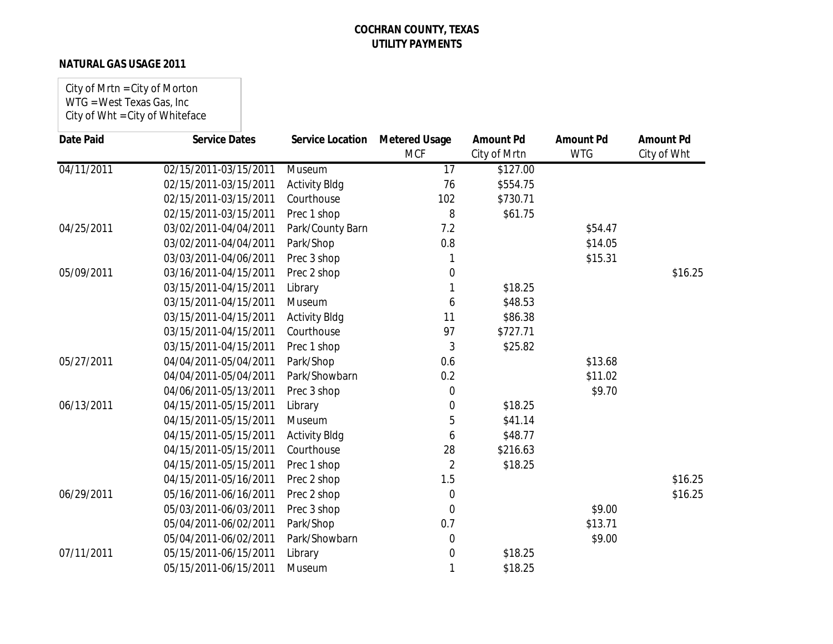### **NATURAL GAS USAGE 2011**

City of Mrtn = City of Morton WTG = West Texas Gas, Inc City of Wht = City of Whiteface

| <b>Date Paid</b> | <b>Service Dates</b>  | <b>Service Location</b> | <b>Metered Usage</b><br><b>MCF</b> | <b>Amount Pd</b><br>City of Mrtn | <b>Amount Pd</b><br><b>WTG</b> | <b>Amount Pd</b><br>City of Wht |
|------------------|-----------------------|-------------------------|------------------------------------|----------------------------------|--------------------------------|---------------------------------|
| 04/11/2011       | 02/15/2011-03/15/2011 | Museum                  | 17                                 | \$127.00                         |                                |                                 |
|                  | 02/15/2011-03/15/2011 | <b>Activity Bldg</b>    | 76                                 | \$554.75                         |                                |                                 |
|                  | 02/15/2011-03/15/2011 | Courthouse              | 102                                | \$730.71                         |                                |                                 |
|                  | 02/15/2011-03/15/2011 | Prec 1 shop             | 8                                  | \$61.75                          |                                |                                 |
| 04/25/2011       | 03/02/2011-04/04/2011 | Park/County Barn        | 7.2                                |                                  | \$54.47                        |                                 |
|                  | 03/02/2011-04/04/2011 | Park/Shop               | 0.8                                |                                  | \$14.05                        |                                 |
|                  | 03/03/2011-04/06/2011 | Prec 3 shop             |                                    |                                  | \$15.31                        |                                 |
| 05/09/2011       | 03/16/2011-04/15/2011 | Prec 2 shop             | 0                                  |                                  |                                | \$16.25                         |
|                  | 03/15/2011-04/15/2011 | Library                 |                                    | \$18.25                          |                                |                                 |
|                  | 03/15/2011-04/15/2011 | Museum                  | 6                                  | \$48.53                          |                                |                                 |
|                  | 03/15/2011-04/15/2011 | <b>Activity Bldg</b>    | 11                                 | \$86.38                          |                                |                                 |
|                  | 03/15/2011-04/15/2011 | Courthouse              | 97                                 | \$727.71                         |                                |                                 |
|                  | 03/15/2011-04/15/2011 | Prec 1 shop             | 3                                  | \$25.82                          |                                |                                 |
| 05/27/2011       | 04/04/2011-05/04/2011 | Park/Shop               | 0.6                                |                                  | \$13.68                        |                                 |
|                  | 04/04/2011-05/04/2011 | Park/Showbarn           | 0.2                                |                                  | \$11.02                        |                                 |
|                  | 04/06/2011-05/13/2011 | Prec 3 shop             | 0                                  |                                  | \$9.70                         |                                 |
| 06/13/2011       | 04/15/2011-05/15/2011 | Library                 | 0                                  | \$18.25                          |                                |                                 |
|                  | 04/15/2011-05/15/2011 | Museum                  | 5                                  | \$41.14                          |                                |                                 |
|                  | 04/15/2011-05/15/2011 | <b>Activity Bldg</b>    | 6                                  | \$48.77                          |                                |                                 |
|                  | 04/15/2011-05/15/2011 | Courthouse              | 28                                 | \$216.63                         |                                |                                 |
|                  | 04/15/2011-05/15/2011 | Prec 1 shop             | $\overline{2}$                     | \$18.25                          |                                |                                 |
|                  | 04/15/2011-05/16/2011 | Prec 2 shop             | 1.5                                |                                  |                                | \$16.25                         |
| 06/29/2011       | 05/16/2011-06/16/2011 | Prec 2 shop             | 0                                  |                                  |                                | \$16.25                         |
|                  | 05/03/2011-06/03/2011 | Prec 3 shop             | $\mathbf 0$                        |                                  | \$9.00                         |                                 |
|                  | 05/04/2011-06/02/2011 | Park/Shop               | 0.7                                |                                  | \$13.71                        |                                 |
|                  | 05/04/2011-06/02/2011 | Park/Showbarn           | 0                                  |                                  | \$9.00                         |                                 |
| 07/11/2011       | 05/15/2011-06/15/2011 | Library                 | 0                                  | \$18.25                          |                                |                                 |
|                  | 05/15/2011-06/15/2011 | Museum                  | 1                                  | \$18.25                          |                                |                                 |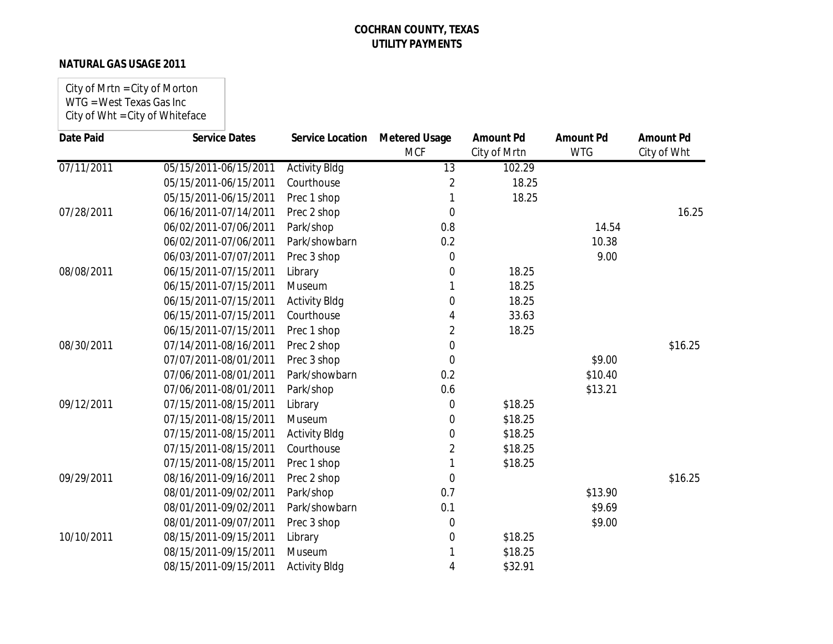### **NATURAL GAS USAGE 2011**

City of Mrtn = City of Morton WTG = West Texas Gas Inc City of Wht = City of Whiteface

| <b>Date Paid</b> | <b>Service Dates</b>  | <b>Service Location</b> | <b>Metered Usage</b><br><b>MCF</b> | <b>Amount Pd</b><br>City of Mrtn | <b>Amount Pd</b><br><b>WTG</b> | <b>Amount Pd</b><br>City of Wht |
|------------------|-----------------------|-------------------------|------------------------------------|----------------------------------|--------------------------------|---------------------------------|
| 07/11/2011       | 05/15/2011-06/15/2011 | <b>Activity Bldg</b>    | 13                                 | 102.29                           |                                |                                 |
|                  | 05/15/2011-06/15/2011 | Courthouse              | 2                                  | 18.25                            |                                |                                 |
|                  | 05/15/2011-06/15/2011 | Prec 1 shop             |                                    | 18.25                            |                                |                                 |
| 07/28/2011       | 06/16/2011-07/14/2011 | Prec 2 shop             | $\overline{0}$                     |                                  |                                | 16.25                           |
|                  | 06/02/2011-07/06/2011 | Park/shop               | 0.8                                |                                  | 14.54                          |                                 |
|                  | 06/02/2011-07/06/2011 | Park/showbarn           | 0.2                                |                                  | 10.38                          |                                 |
|                  | 06/03/2011-07/07/2011 | Prec 3 shop             | $\mathbf 0$                        |                                  | 9.00                           |                                 |
| 08/08/2011       | 06/15/2011-07/15/2011 | Library                 | $\Omega$                           | 18.25                            |                                |                                 |
|                  | 06/15/2011-07/15/2011 | Museum                  |                                    | 18.25                            |                                |                                 |
|                  | 06/15/2011-07/15/2011 | <b>Activity Bldg</b>    | $\overline{0}$                     | 18.25                            |                                |                                 |
|                  | 06/15/2011-07/15/2011 | Courthouse              | 4                                  | 33.63                            |                                |                                 |
|                  | 06/15/2011-07/15/2011 | Prec 1 shop             | $\overline{2}$                     | 18.25                            |                                |                                 |
| 08/30/2011       | 07/14/2011-08/16/2011 | Prec 2 shop             | $\overline{0}$                     |                                  |                                | \$16.25                         |
|                  | 07/07/2011-08/01/2011 | Prec 3 shop             | $\overline{0}$                     |                                  | \$9.00                         |                                 |
|                  | 07/06/2011-08/01/2011 | Park/showbarn           | 0.2                                |                                  | \$10.40                        |                                 |
|                  | 07/06/2011-08/01/2011 | Park/shop               | 0.6                                |                                  | \$13.21                        |                                 |
| 09/12/2011       | 07/15/2011-08/15/2011 | Library                 | 0                                  | \$18.25                          |                                |                                 |
|                  | 07/15/2011-08/15/2011 | Museum                  | 0                                  | \$18.25                          |                                |                                 |
|                  | 07/15/2011-08/15/2011 | <b>Activity Bldg</b>    | 0                                  | \$18.25                          |                                |                                 |
|                  | 07/15/2011-08/15/2011 | Courthouse              | 2                                  | \$18.25                          |                                |                                 |
|                  | 07/15/2011-08/15/2011 | Prec 1 shop             |                                    | \$18.25                          |                                |                                 |
| 09/29/2011       | 08/16/2011-09/16/2011 | Prec 2 shop             | $\mathbf 0$                        |                                  |                                | \$16.25                         |
|                  | 08/01/2011-09/02/2011 | Park/shop               | 0.7                                |                                  | \$13.90                        |                                 |
|                  | 08/01/2011-09/02/2011 | Park/showbarn           | 0.1                                |                                  | \$9.69                         |                                 |
|                  | 08/01/2011-09/07/2011 | Prec 3 shop             | 0                                  |                                  | \$9.00                         |                                 |
| 10/10/2011       | 08/15/2011-09/15/2011 | Library                 | $\overline{0}$                     | \$18.25                          |                                |                                 |
|                  | 08/15/2011-09/15/2011 | Museum                  |                                    | \$18.25                          |                                |                                 |
|                  | 08/15/2011-09/15/2011 | <b>Activity Bldg</b>    | 4                                  | \$32.91                          |                                |                                 |